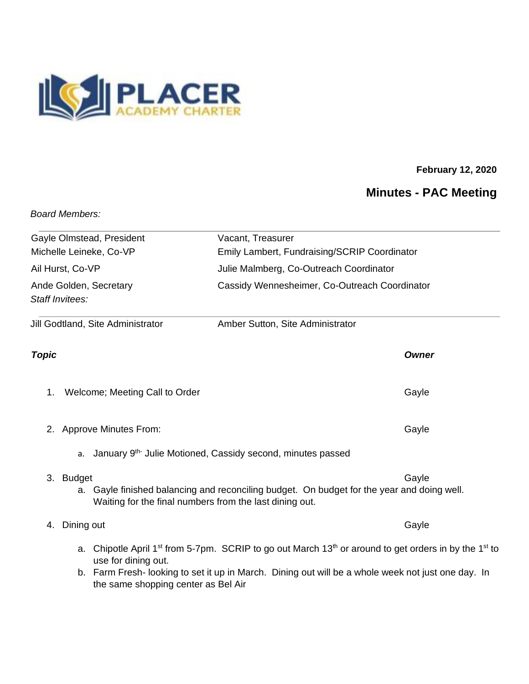

## **February 12, 2020**

## **Minutes - PAC Meeting**

## *Board Members:*

| Gayle Olmstead, President                                  | Vacant, Treasurer                                                                                                                                                                                                                              |
|------------------------------------------------------------|------------------------------------------------------------------------------------------------------------------------------------------------------------------------------------------------------------------------------------------------|
| Michelle Leineke, Co-VP                                    | Emily Lambert, Fundraising/SCRIP Coordinator                                                                                                                                                                                                   |
| Ail Hurst, Co-VP                                           | Julie Malmberg, Co-Outreach Coordinator                                                                                                                                                                                                        |
| Ande Golden, Secretary                                     | Cassidy Wennesheimer, Co-Outreach Coordinator                                                                                                                                                                                                  |
| Staff Invitees:                                            |                                                                                                                                                                                                                                                |
| Jill Godtland, Site Administrator                          | Amber Sutton, Site Administrator                                                                                                                                                                                                               |
| <b>Topic</b>                                               | <b>Owner</b>                                                                                                                                                                                                                                   |
| Welcome; Meeting Call to Order<br>1.                       | Gayle                                                                                                                                                                                                                                          |
| 2. Approve Minutes From:                                   | Gayle                                                                                                                                                                                                                                          |
| a.                                                         | January 9 <sup>th-</sup> Julie Motioned, Cassidy second, minutes passed                                                                                                                                                                        |
| 3. Budget                                                  | Gayle<br>a. Gayle finished balancing and reconciling budget. On budget for the year and doing well.<br>Waiting for the final numbers from the last dining out.                                                                                 |
| Dining out<br>4.                                           | Gayle                                                                                                                                                                                                                                          |
| use for dining out.<br>the same shopping center as Bel Air | a. Chipotle April 1 <sup>st</sup> from 5-7pm. SCRIP to go out March 13 <sup>th</sup> or around to get orders in by the 1 <sup>st</sup> to<br>b. Farm Fresh-looking to set it up in March. Dining out will be a whole week not just one day. In |